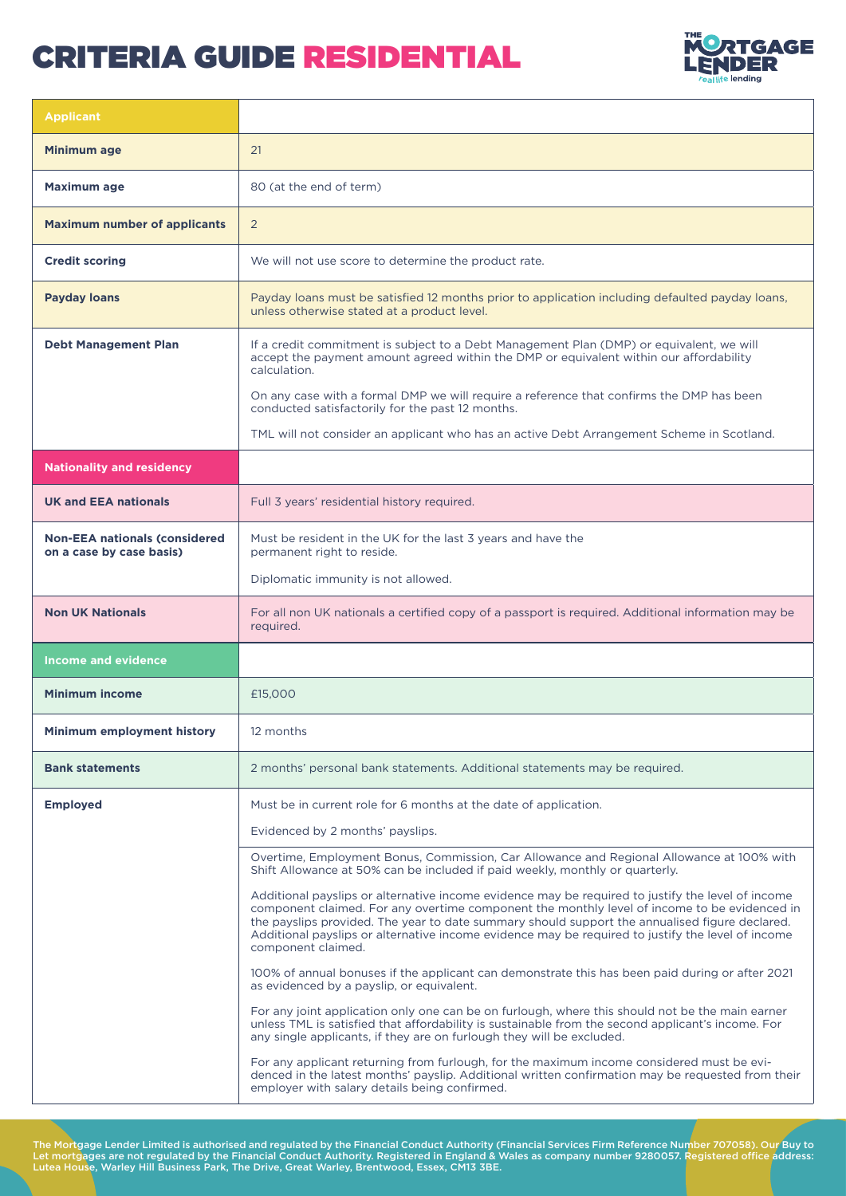

| <b>Applicant</b>                                                 |                                                                                                                                                                                                                                                                                                                                                                                                                                |  |  |
|------------------------------------------------------------------|--------------------------------------------------------------------------------------------------------------------------------------------------------------------------------------------------------------------------------------------------------------------------------------------------------------------------------------------------------------------------------------------------------------------------------|--|--|
| Minimum age                                                      | 21                                                                                                                                                                                                                                                                                                                                                                                                                             |  |  |
| <b>Maximum age</b>                                               | 80 (at the end of term)                                                                                                                                                                                                                                                                                                                                                                                                        |  |  |
| <b>Maximum number of applicants</b>                              | 2                                                                                                                                                                                                                                                                                                                                                                                                                              |  |  |
| <b>Credit scoring</b>                                            | We will not use score to determine the product rate.                                                                                                                                                                                                                                                                                                                                                                           |  |  |
| <b>Payday loans</b>                                              | Payday loans must be satisfied 12 months prior to application including defaulted payday loans,<br>unless otherwise stated at a product level.                                                                                                                                                                                                                                                                                 |  |  |
| <b>Debt Management Plan</b>                                      | If a credit commitment is subject to a Debt Management Plan (DMP) or equivalent, we will<br>accept the payment amount agreed within the DMP or equivalent within our affordability<br>calculation.                                                                                                                                                                                                                             |  |  |
|                                                                  | On any case with a formal DMP we will require a reference that confirms the DMP has been<br>conducted satisfactorily for the past 12 months.                                                                                                                                                                                                                                                                                   |  |  |
|                                                                  | TML will not consider an applicant who has an active Debt Arrangement Scheme in Scotland.                                                                                                                                                                                                                                                                                                                                      |  |  |
| <b>Nationality and residency</b>                                 |                                                                                                                                                                                                                                                                                                                                                                                                                                |  |  |
| <b>UK and EEA nationals</b>                                      | Full 3 years' residential history required.                                                                                                                                                                                                                                                                                                                                                                                    |  |  |
| <b>Non-EEA nationals (considered</b><br>on a case by case basis) | Must be resident in the UK for the last 3 years and have the<br>permanent right to reside.                                                                                                                                                                                                                                                                                                                                     |  |  |
|                                                                  | Diplomatic immunity is not allowed.                                                                                                                                                                                                                                                                                                                                                                                            |  |  |
| <b>Non UK Nationals</b>                                          | For all non UK nationals a certified copy of a passport is required. Additional information may be<br>required.                                                                                                                                                                                                                                                                                                                |  |  |
| <b>Income and evidence</b>                                       |                                                                                                                                                                                                                                                                                                                                                                                                                                |  |  |
| <b>Minimum income</b>                                            | £15,000                                                                                                                                                                                                                                                                                                                                                                                                                        |  |  |
| <b>Minimum employment history</b>                                | 12 months                                                                                                                                                                                                                                                                                                                                                                                                                      |  |  |
| <b>Bank statements</b>                                           | 2 months' personal bank statements. Additional statements may be required.                                                                                                                                                                                                                                                                                                                                                     |  |  |
| <b>Employed</b>                                                  | Must be in current role for 6 months at the date of application.                                                                                                                                                                                                                                                                                                                                                               |  |  |
|                                                                  | Evidenced by 2 months' payslips.                                                                                                                                                                                                                                                                                                                                                                                               |  |  |
|                                                                  | Overtime, Employment Bonus, Commission, Car Allowance and Regional Allowance at 100% with<br>Shift Allowance at 50% can be included if paid weekly, monthly or quarterly.                                                                                                                                                                                                                                                      |  |  |
|                                                                  | Additional payslips or alternative income evidence may be required to justify the level of income<br>component claimed. For any overtime component the monthly level of income to be evidenced in<br>the payslips provided. The year to date summary should support the annualised figure declared.<br>Additional payslips or alternative income evidence may be required to justify the level of income<br>component claimed. |  |  |
|                                                                  | 100% of annual bonuses if the applicant can demonstrate this has been paid during or after 2021<br>as evidenced by a payslip, or equivalent.                                                                                                                                                                                                                                                                                   |  |  |
|                                                                  | For any joint application only one can be on furlough, where this should not be the main earner<br>unless TML is satisfied that affordability is sustainable from the second applicant's income. For<br>any single applicants, if they are on furlough they will be excluded.                                                                                                                                                  |  |  |
|                                                                  | For any applicant returning from furlough, for the maximum income considered must be evi-<br>denced in the latest months' payslip. Additional written confirmation may be requested from their<br>employer with salary details being confirmed.                                                                                                                                                                                |  |  |

The Mortgage Lender Limited is authorised and regulated by the Financial Conduct Authority (Financial Services Firm Reference Number 707058). Our Buy to Let mortgages are not regulated by the Financial Conduct Authority. Registered in England & Wales as company number 9280057. Registered office address: Lutea House, Warley Hill Business Park, The Drive, Great Warley, Brentwood, Essex, CM13 3BE.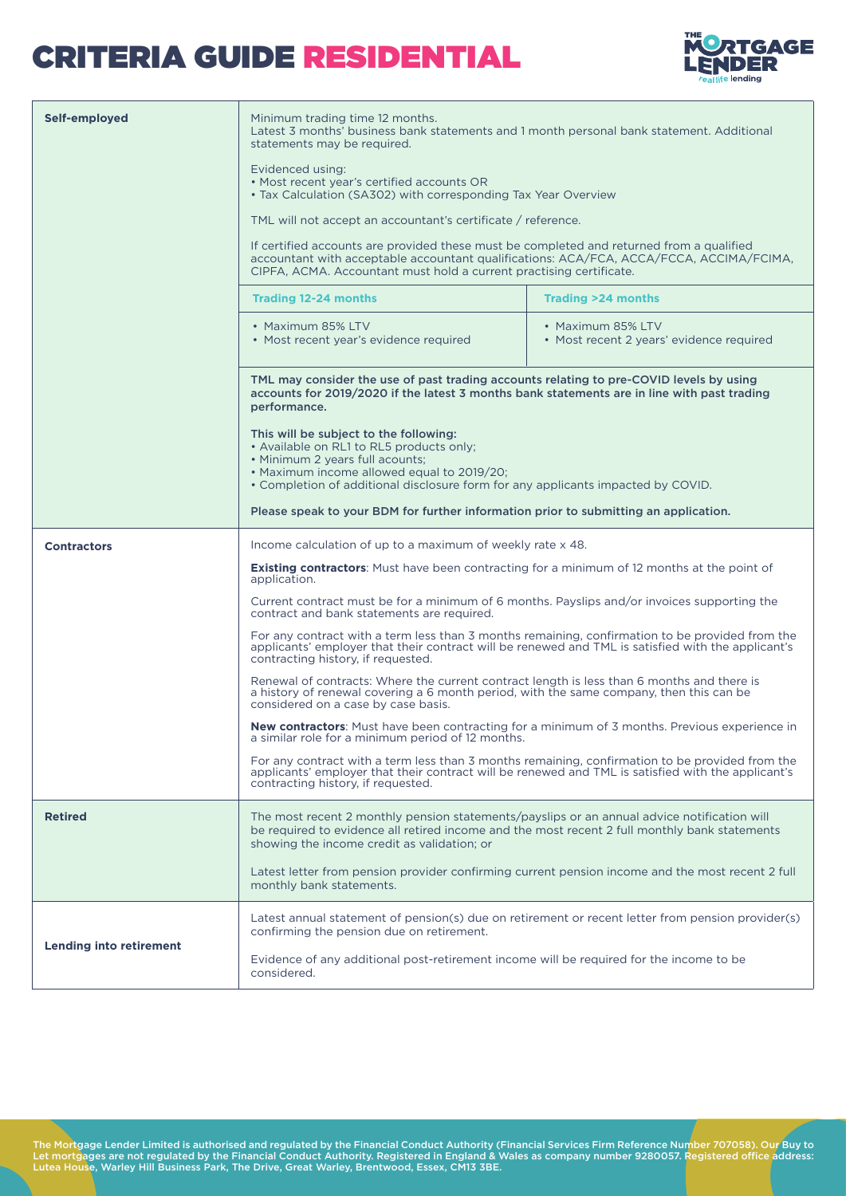

| Self-employed                  | Minimum trading time 12 months.<br>Latest 3 months' business bank statements and 1 month personal bank statement. Additional<br>statements may be required.                                                                                                                                                                                                                              |                                                                                                                                                                                       |  |  |  |  |
|--------------------------------|------------------------------------------------------------------------------------------------------------------------------------------------------------------------------------------------------------------------------------------------------------------------------------------------------------------------------------------------------------------------------------------|---------------------------------------------------------------------------------------------------------------------------------------------------------------------------------------|--|--|--|--|
|                                | Evidenced using:<br>• Most recent year's certified accounts OR<br>• Tax Calculation (SA302) with corresponding Tax Year Overview                                                                                                                                                                                                                                                         |                                                                                                                                                                                       |  |  |  |  |
|                                | TML will not accept an accountant's certificate / reference.                                                                                                                                                                                                                                                                                                                             |                                                                                                                                                                                       |  |  |  |  |
|                                | If certified accounts are provided these must be completed and returned from a qualified<br>accountant with acceptable accountant qualifications: ACA/FCA, ACCA/FCCA, ACCIMA/FCIMA,<br>CIPFA, ACMA. Accountant must hold a current practising certificate.                                                                                                                               |                                                                                                                                                                                       |  |  |  |  |
|                                | <b>Trading 12-24 months</b>                                                                                                                                                                                                                                                                                                                                                              | <b>Trading &gt;24 months</b>                                                                                                                                                          |  |  |  |  |
|                                | • Maximum 85% LTV<br>• Most recent year's evidence required                                                                                                                                                                                                                                                                                                                              | • Maximum 85% LTV<br>• Most recent 2 years' evidence required                                                                                                                         |  |  |  |  |
|                                | TML may consider the use of past trading accounts relating to pre-COVID levels by using<br>accounts for 2019/2020 if the latest 3 months bank statements are in line with past trading<br>performance.                                                                                                                                                                                   |                                                                                                                                                                                       |  |  |  |  |
|                                | This will be subject to the following:<br>• Available on RL1 to RL5 products only;<br>• Minimum 2 years full acounts;<br>• Maximum income allowed equal to 2019/20;<br>• Completion of additional disclosure form for any applicants impacted by COVID.                                                                                                                                  |                                                                                                                                                                                       |  |  |  |  |
|                                | Please speak to your BDM for further information prior to submitting an application.                                                                                                                                                                                                                                                                                                     |                                                                                                                                                                                       |  |  |  |  |
| <b>Contractors</b>             | Income calculation of up to a maximum of weekly rate x 48.                                                                                                                                                                                                                                                                                                                               |                                                                                                                                                                                       |  |  |  |  |
|                                | <b>Existing contractors:</b> Must have been contracting for a minimum of 12 months at the point of<br>application.                                                                                                                                                                                                                                                                       |                                                                                                                                                                                       |  |  |  |  |
|                                | Current contract must be for a minimum of 6 months. Payslips and/or invoices supporting the<br>contract and bank statements are required.<br>For any contract with a term less than 3 months remaining, confirmation to be provided from the<br>applicants' employer that their contract will be renewed and TML is satisfied with the applicant's<br>contracting history, if requested. |                                                                                                                                                                                       |  |  |  |  |
|                                |                                                                                                                                                                                                                                                                                                                                                                                          |                                                                                                                                                                                       |  |  |  |  |
|                                | considered on a case by case basis.                                                                                                                                                                                                                                                                                                                                                      | Renewal of contracts: Where the current contract length is less than 6 months and there is<br>a history of renewal covering a 6 month period, with the same company, then this can be |  |  |  |  |
|                                | New contractors: Must have been contracting for a minimum of 3 months. Previous experience in<br>a similar role for a minimum period of 12 months.                                                                                                                                                                                                                                       |                                                                                                                                                                                       |  |  |  |  |
|                                | For any contract with a term less than 3 months remaining, confirmation to be provided from the<br>applicants' employer that their contract will be renewed and TML is satisfied with the applicant's<br>contracting history, if requested.                                                                                                                                              |                                                                                                                                                                                       |  |  |  |  |
| <b>Retired</b>                 | The most recent 2 monthly pension statements/payslips or an annual advice notification will<br>be required to evidence all retired income and the most recent 2 full monthly bank statements<br>showing the income credit as validation; or                                                                                                                                              |                                                                                                                                                                                       |  |  |  |  |
|                                | Latest letter from pension provider confirming current pension income and the most recent 2 full<br>monthly bank statements.                                                                                                                                                                                                                                                             |                                                                                                                                                                                       |  |  |  |  |
|                                | Latest annual statement of pension(s) due on retirement or recent letter from pension provider(s)<br>confirming the pension due on retirement.                                                                                                                                                                                                                                           |                                                                                                                                                                                       |  |  |  |  |
| <b>Lending into retirement</b> | Evidence of any additional post-retirement income will be required for the income to be<br>considered.                                                                                                                                                                                                                                                                                   |                                                                                                                                                                                       |  |  |  |  |

The Mortgage Lender Limited is authorised and regulated by the Financial Conduct Authority (Financial Services Firm Reference Number 707058). Our Buy to<br>Let mortgages are not regulated by the Financial Conduct Authority. R Lutea House, Warley Hill Business Park, The Drive, Great Warley, Brentwood, Essex, CM13 3BE.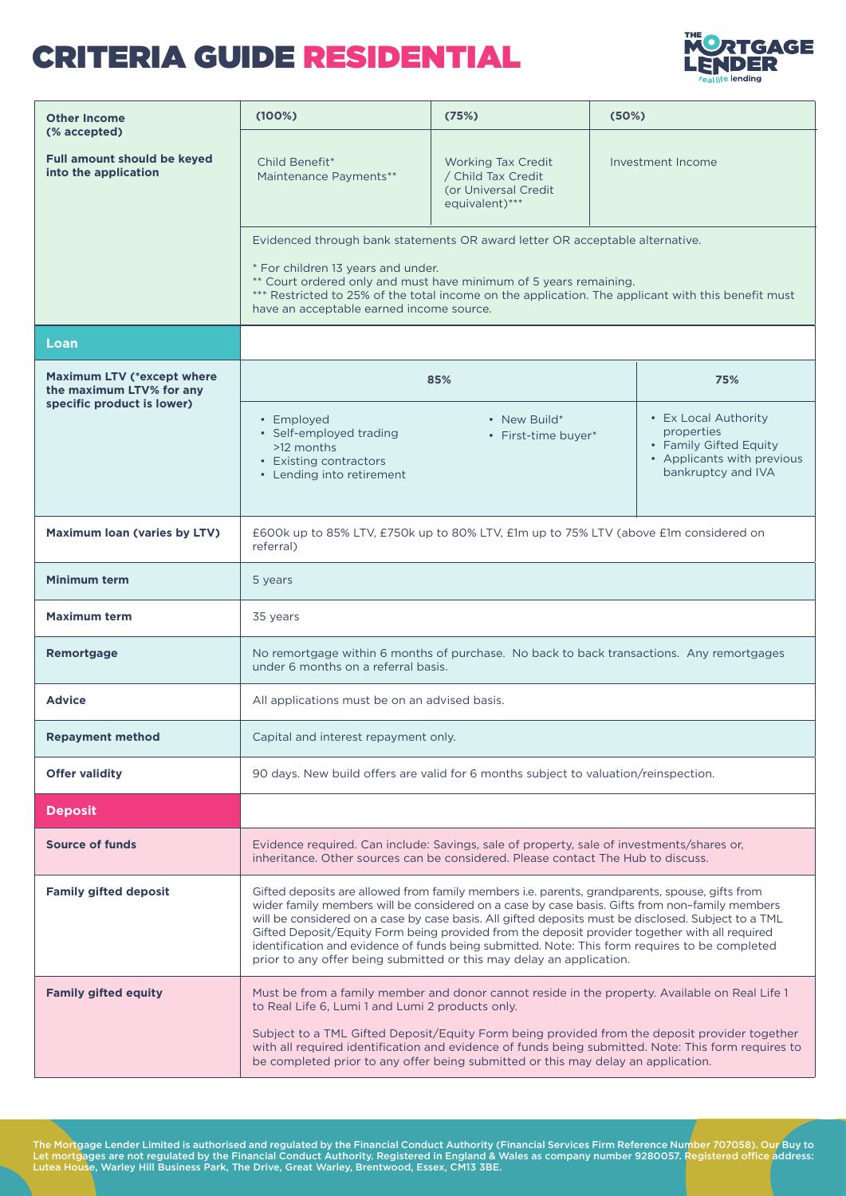

| <b>Other Income</b>                                                        | (100%)                                                                                                                                                                                                                                                                                                                                                                                                                                                                                                                                                                              | (75%)                                                                              | (50%) |                                                                                                                  |  |
|----------------------------------------------------------------------------|-------------------------------------------------------------------------------------------------------------------------------------------------------------------------------------------------------------------------------------------------------------------------------------------------------------------------------------------------------------------------------------------------------------------------------------------------------------------------------------------------------------------------------------------------------------------------------------|------------------------------------------------------------------------------------|-------|------------------------------------------------------------------------------------------------------------------|--|
| (% accepted)<br><b>Full amount should be keyed</b><br>into the application | Child Benefit*<br>Maintenance Payments**                                                                                                                                                                                                                                                                                                                                                                                                                                                                                                                                            | Working Tax Credit<br>/ Child Tax Credit<br>(or Universal Credit<br>equivalent)*** |       | Investment Income                                                                                                |  |
|                                                                            | Evidenced through bank statements OR award letter OR acceptable alternative.                                                                                                                                                                                                                                                                                                                                                                                                                                                                                                        |                                                                                    |       |                                                                                                                  |  |
|                                                                            | * For children 13 years and under.<br>** Court ordered only and must have minimum of 5 years remaining.<br>*** Restricted to 25% of the total income on the application. The applicant with this benefit must<br>have an acceptable earned income source.                                                                                                                                                                                                                                                                                                                           |                                                                                    |       |                                                                                                                  |  |
| Loan                                                                       |                                                                                                                                                                                                                                                                                                                                                                                                                                                                                                                                                                                     |                                                                                    |       |                                                                                                                  |  |
| <b>Maximum LTV (*except where</b><br>the maximum LTV% for any              | 85%                                                                                                                                                                                                                                                                                                                                                                                                                                                                                                                                                                                 |                                                                                    | 75%   |                                                                                                                  |  |
| specific product is lower)                                                 | • Employed<br>• Self-employed trading<br>>12 months<br>• Existing contractors<br>• Lending into retirement                                                                                                                                                                                                                                                                                                                                                                                                                                                                          | • New Build*<br>• First-time buyer*                                                |       | • Ex Local Authority<br>properties<br>• Family Gifted Equity<br>• Applicants with previous<br>bankruptcy and IVA |  |
| <b>Maximum loan (varies by LTV)</b>                                        | £600k up to 85% LTV, £750k up to 80% LTV, £1m up to 75% LTV (above £1m considered on<br>referral)                                                                                                                                                                                                                                                                                                                                                                                                                                                                                   |                                                                                    |       |                                                                                                                  |  |
| <b>Minimum term</b>                                                        | 5 years                                                                                                                                                                                                                                                                                                                                                                                                                                                                                                                                                                             |                                                                                    |       |                                                                                                                  |  |
| <b>Maximum term</b>                                                        | 35 years                                                                                                                                                                                                                                                                                                                                                                                                                                                                                                                                                                            |                                                                                    |       |                                                                                                                  |  |
| <b>Remortgage</b>                                                          | No remortgage within 6 months of purchase. No back to back transactions. Any remortgages<br>under 6 months on a referral basis.                                                                                                                                                                                                                                                                                                                                                                                                                                                     |                                                                                    |       |                                                                                                                  |  |
| <b>Advice</b>                                                              | All applications must be on an advised basis.                                                                                                                                                                                                                                                                                                                                                                                                                                                                                                                                       |                                                                                    |       |                                                                                                                  |  |
| Repayment method                                                           | Capital and interest repayment only.                                                                                                                                                                                                                                                                                                                                                                                                                                                                                                                                                |                                                                                    |       |                                                                                                                  |  |
| <b>Offer validity</b>                                                      | 90 days. New build offers are valid for 6 months subject to valuation/reinspection.                                                                                                                                                                                                                                                                                                                                                                                                                                                                                                 |                                                                                    |       |                                                                                                                  |  |
| <b>Deposit</b>                                                             |                                                                                                                                                                                                                                                                                                                                                                                                                                                                                                                                                                                     |                                                                                    |       |                                                                                                                  |  |
| <b>Source of funds</b>                                                     | Evidence required. Can include: Savings, sale of property, sale of investments/shares or,<br>inheritance. Other sources can be considered. Please contact The Hub to discuss.                                                                                                                                                                                                                                                                                                                                                                                                       |                                                                                    |       |                                                                                                                  |  |
| <b>Family gifted deposit</b>                                               | Gifted deposits are allowed from family members i.e. parents, grandparents, spouse, gifts from<br>wider family members will be considered on a case by case basis. Gifts from non-family members<br>will be considered on a case by case basis. All gifted deposits must be disclosed. Subject to a TML<br>Gifted Deposit/Equity Form being provided from the deposit provider together with all required<br>identification and evidence of funds being submitted. Note: This form requires to be completed<br>prior to any offer being submitted or this may delay an application. |                                                                                    |       |                                                                                                                  |  |
| <b>Family gifted equity</b>                                                | Must be from a family member and donor cannot reside in the property. Available on Real Life 1<br>to Real Life 6, Lumi 1 and Lumi 2 products only.<br>Subject to a TML Gifted Deposit/Equity Form being provided from the deposit provider together<br>with all required identification and evidence of funds being submitted. Note: This form requires to<br>be completed prior to any offer being submitted or this may delay an application.                                                                                                                                     |                                                                                    |       |                                                                                                                  |  |

The Mortgage Lender Limited is authorised and regulated by the Financial Conduct Authority (Financial Services Firm Reference Number 707058). Our Buy to<br>Let mortgages are not regulated by the Financial Conduct Authority. R Lutea House, Warley Hill Business Park, The Drive, Great Warley, Brentwood, Essex, CM13 3BE.